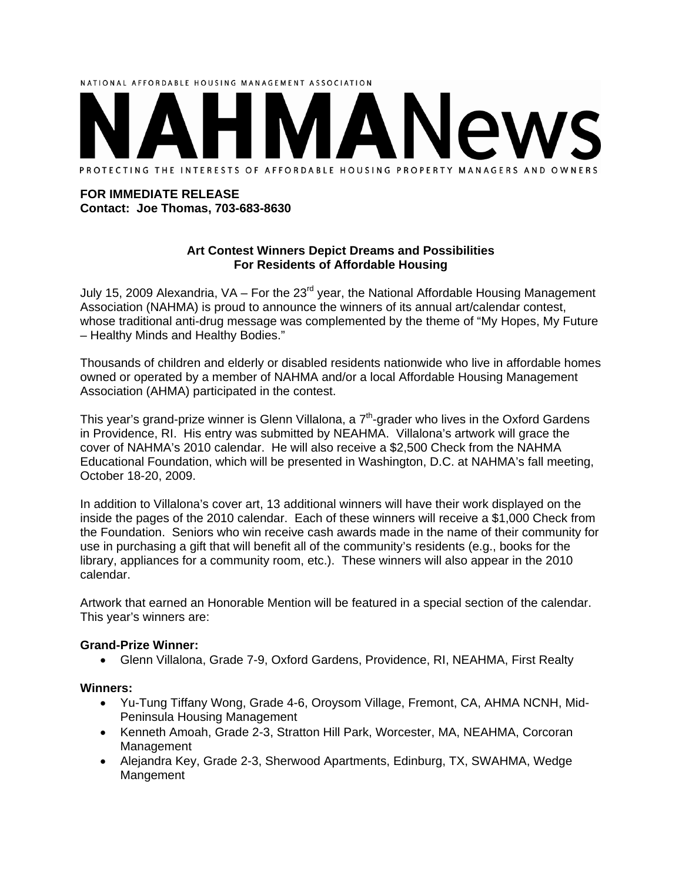# NATIONAL AFFORDABLE HOUSING MANAGEMENT ASSOCIATION PROTECTING THE INTERESTS OF AFFORDABLE HOUSING PROPERTY MANAGERS AND OWNERS

#### **FOR IMMEDIATE RELEASE Contact: Joe Thomas, 703-683-8630**

### **Art Contest Winners Depict Dreams and Possibilities For Residents of Affordable Housing**

July 15, 2009 Alexandria,  $VA$  – For the 23<sup>rd</sup> year, the National Affordable Housing Management Association (NAHMA) is proud to announce the winners of its annual art/calendar contest, whose traditional anti-drug message was complemented by the theme of "My Hopes, My Future – Healthy Minds and Healthy Bodies."

Thousands of children and elderly or disabled residents nationwide who live in affordable homes owned or operated by a member of NAHMA and/or a local Affordable Housing Management Association (AHMA) participated in the contest.

This year's grand-prize winner is Glenn Villalona, a  $7<sup>th</sup>$ -grader who lives in the Oxford Gardens in Providence, RI. His entry was submitted by NEAHMA. Villalona's artwork will grace the cover of NAHMA's 2010 calendar. He will also receive a \$2,500 Check from the NAHMA Educational Foundation, which will be presented in Washington, D.C. at NAHMA's fall meeting, October 18-20, 2009.

In addition to Villalona's cover art, 13 additional winners will have their work displayed on the inside the pages of the 2010 calendar. Each of these winners will receive a \$1,000 Check from the Foundation. Seniors who win receive cash awards made in the name of their community for use in purchasing a gift that will benefit all of the community's residents (e.g., books for the library, appliances for a community room, etc.). These winners will also appear in the 2010 calendar.

Artwork that earned an Honorable Mention will be featured in a special section of the calendar. This year's winners are:

### **Grand-Prize Winner:**

Glenn Villalona, Grade 7-9, Oxford Gardens, Providence, RI, NEAHMA, First Realty

### **Winners:**

- Yu-Tung Tiffany Wong, Grade 4-6, Oroysom Village, Fremont, CA, AHMA NCNH, Mid-Peninsula Housing Management
- Kenneth Amoah, Grade 2-3, Stratton Hill Park, Worcester, MA, NEAHMA, Corcoran Management
- Alejandra Key, Grade 2-3, Sherwood Apartments, Edinburg, TX, SWAHMA, Wedge Mangement